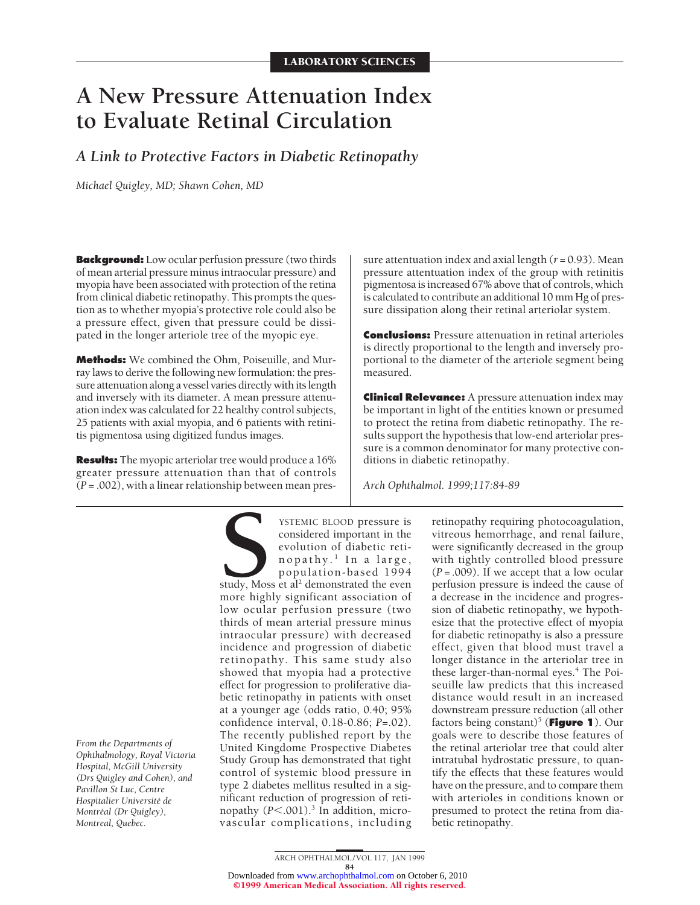# **A New Pressure Attenuation Index to Evaluate Retinal Circulation**

*A Link to Protective Factors in Diabetic Retinopathy*

*Michael Quigley, MD; Shawn Cohen, MD*

**Background:** Low ocular perfusion pressure (two thirds of mean arterial pressure minus intraocular pressure) and myopia have been associated with protection of the retina from clinical diabetic retinopathy. This prompts the question as to whether myopia's protective role could also be a pressure effect, given that pressure could be dissipated in the longer arteriole tree of the myopic eye.

**Methods:** We combined the Ohm, Poiseuille, and Murray laws to derive the following new formulation: the pressure attenuation along a vessel varies directly with its length and inversely with its diameter. A mean pressure attenuation index was calculated for 22 healthy control subjects, 25 patients with axial myopia, and 6 patients with retinitis pigmentosa using digitized fundus images.

**Results:** The myopic arteriolar tree would produce a 16% greater pressure attenuation than that of controls (*P* = .002), with a linear relationship between mean pres-

*From the Departments of Ophthalmology, Royal Victoria Hospital, McGill University (Drs Quigley and Cohen), and Pavillon St Luc, Centre Hospitalier Universite´ de Montre´al (Dr Quigley), Montreal, Quebec.*

**SPENIC BLOOD pressure is<br>
considered important in the<br>
evolution of diabetic reti-<br>
nopathy.<sup>1</sup> In a large,<br>
population-based 1994<br>
study, Moss et al<sup>2</sup> demonstrated the even<br>
more highly significant association of** considered important in the evolution of diabetic retinopathy. <sup>1</sup> In a large, population-based 1994 study, Moss et al<sup>2</sup> demonstrated the even more highly significant association of low ocular perfusion pressure (two thirds of mean arterial pressure minus intraocular pressure) with decreased incidence and progression of diabetic retinopathy. This same study also showed that myopia had a protective effect for progression to proliferative diabetic retinopathy in patients with onset at a younger age (odds ratio, 0.40; 95% confidence interval, 0.18-0.86; *P*=.02). The recently published report by the United Kingdome Prospective Diabetes Study Group has demonstrated that tight control of systemic blood pressure in type 2 diabetes mellitus resulted in a significant reduction of progression of retinopathy ( $P$ <.001).<sup>3</sup> In addition, microvascular complications, including

sure attentuation index and axial length (*r* = 0.93). Mean pressure attentuation index of the group with retinitis pigmentosa is increased 67% above that of controls, which is calculated to contribute an additional 10 mm Hg of pressure dissipation along their retinal arteriolar system.

**Conclusions:** Pressure attenuation in retinal arterioles is directly proportional to the length and inversely proportional to the diameter of the arteriole segment being measured.

**Clinical Relevance:** A pressure attenuation index may be important in light of the entities known or presumed to protect the retina from diabetic retinopathy. The results support the hypothesis that low-end arteriolar pressure is a common denominator for many protective conditions in diabetic retinopathy.

*Arch Ophthalmol. 1999;117:84-89*

retinopathy requiring photocoagulation, vitreous hemorrhage, and renal failure, were significantly decreased in the group with tightly controlled blood pressure (*P* = .009). If we accept that a low ocular perfusion pressure is indeed the cause of a decrease in the incidence and progression of diabetic retinopathy, we hypothesize that the protective effect of myopia for diabetic retinopathy is also a pressure effect, given that blood must travel a longer distance in the arteriolar tree in these larger-than-normal eyes.<sup>4</sup> The Poiseuille law predicts that this increased distance would result in an increased downstream pressure reduction (all other factors being constant)<sup>5</sup> (**Figure 1**). Our goals were to describe those features of the retinal arteriolar tree that could alter intratubal hydrostatic pressure, to quantify the effects that these features would have on the pressure, and to compare them with arterioles in conditions known or presumed to protect the retina from diabetic retinopathy.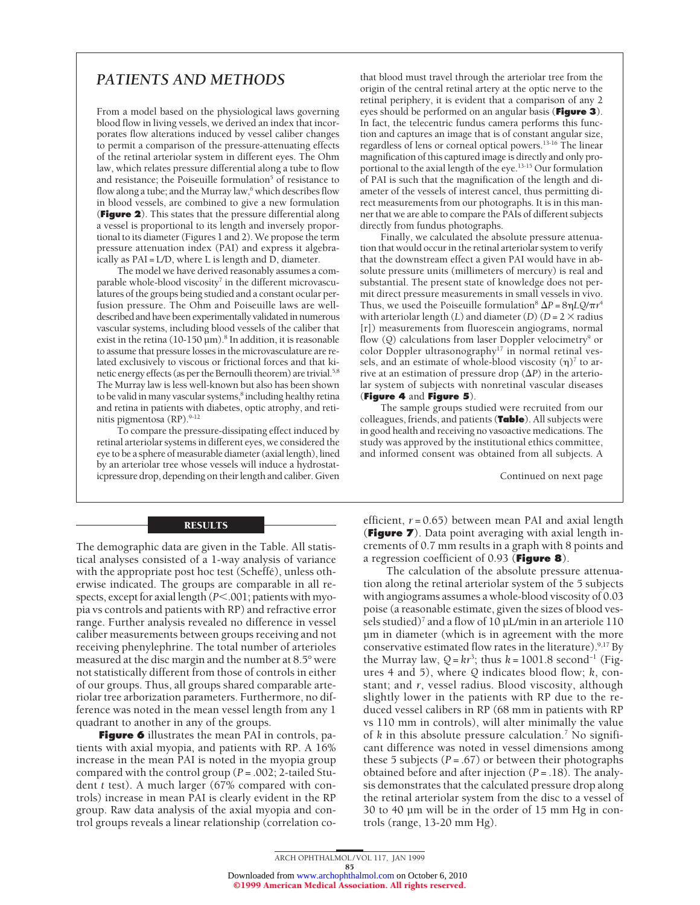# *PATIENTS AND METHODS*

From a model based on the physiological laws governing blood flow in living vessels, we derived an index that incorporates flow alterations induced by vessel caliber changes to permit a comparison of the pressure-attenuating effects of the retinal arteriolar system in different eyes. The Ohm law, which relates pressure differential along a tube to flow and resistance; the Poiseuille formulation<sup>5</sup> of resistance to flow along a tube; and the Murray law,<sup>6</sup> which describes flow in blood vessels, are combined to give a new formulation (**Figure 2**). This states that the pressure differential along a vessel is proportional to its length and inversely proportional to its diameter (Figures 1 and 2). We propose the term pressure attenuation index (PAI) and express it algebraically as  $PAI = L/D$ , where L is length and D, diameter.

The model we have derived reasonably assumes a comparable whole-blood viscosity<sup>7</sup> in the different microvasculatures of the groups being studied and a constant ocular perfusion pressure. The Ohm and Poiseuille laws are welldescribed and have been experimentally validated in numerous vascular systems, including blood vessels of the caliber that exist in the retina (10-150 µm).<sup>8</sup> In addition, it is reasonable to assume that pressure losses in the microvasculature are related exclusively to viscous or frictional forces and that kinetic energy effects (as per the Bernoulli theorem) are trivial.<sup>5,8</sup> The Murray law is less well-known but also has been shown to be valid in many vascular systems,<sup>8</sup> including healthy retina and retina in patients with diabetes, optic atrophy, and retinitis pigmentosa (RP).9-12

To compare the pressure-dissipating effect induced by retinal arteriolar systems in different eyes, we considered the eye to be a sphere of measurable diameter (axial length), lined by an arteriolar tree whose vessels will induce a hydrostaticpressure drop, depending on their length and caliber. Given

## RESULTS

The demographic data are given in the Table. All statistical analyses consisted of a 1-way analysis of variance with the appropriate post hoc test (Scheffé), unless otherwise indicated. The groups are comparable in all respects, except for axial length ( $P$ <.001; patients with myopia vs controls and patients with RP) and refractive error range. Further analysis revealed no difference in vessel caliber measurements between groups receiving and not receiving phenylephrine. The total number of arterioles measured at the disc margin and the number at 8.5° were not statistically different from those of controls in either of our groups. Thus, all groups shared comparable arteriolar tree arborization parameters. Furthermore, no difference was noted in the mean vessel length from any 1 quadrant to another in any of the groups.

**Figure 6** illustrates the mean PAI in controls, patients with axial myopia, and patients with RP. A 16% increase in the mean PAI is noted in the myopia group compared with the control group (*P* = .002; 2-tailed Student *t* test). A much larger (67% compared with controls) increase in mean PAI is clearly evident in the RP group. Raw data analysis of the axial myopia and control groups reveals a linear relationship (correlation cothat blood must travel through the arteriolar tree from the origin of the central retinal artery at the optic nerve to the retinal periphery, it is evident that a comparison of any 2 eyes should be performed on an angular basis (**Figure 3**). In fact, the telecentric fundus camera performs this function and captures an image that is of constant angular size, regardless of lens or corneal optical powers.13-16 The linear magnification of this captured image is directly and only proportional to the axial length of the eye.13-15 Our formulation of PAI is such that the magnification of the length and diameter of the vessels of interest cancel, thus permitting direct measurements from our photographs. It is in this manner that we are able to compare the PAIs of different subjects directly from fundus photographs.

Finally, we calculated the absolute pressure attenuation that would occur in the retinal arteriolar system to verify that the downstream effect a given PAI would have in absolute pressure units (millimeters of mercury) is real and substantial. The present state of knowledge does not permit direct pressure measurements in small vessels in vivo. Thus, we used the Poiseuille formulation<sup>8</sup>  $\Delta P = 8\eta LQ/\pi r^4$ with arteriolar length (*L*) and diameter (*D*) ( $D = 2 \times$  radius [r]) measurements from fluorescein angiograms, normal flow (Q) calculations from laser Doppler velocimetry<sup>9</sup> or color Doppler ultrasonography<sup>17</sup> in normal retinal vessels, and an estimate of whole-blood viscosity  $(\eta)^7$  to arrive at an estimation of pressure drop  $(\Delta P)$  in the arteriolar system of subjects with nonretinal vascular diseases (**Figure 4** and **Figure 5**).

The sample groups studied were recruited from our colleagues, friends, and patients (**Table**). All subjects were in good health and receiving no vasoactive medications. The study was approved by the institutional ethics committee, and informed consent was obtained from all subjects. A

Continued on next page

efficient, *r* = 0.65) between mean PAI and axial length (**Figure 7**). Data point averaging with axial length increments of 0.7 mm results in a graph with 8 points and a regression coefficient of 0.93 (**Figure 8**).

The calculation of the absolute pressure attenuation along the retinal arteriolar system of the 5 subjects with angiograms assumes a whole-blood viscosity of 0.03 poise (a reasonable estimate, given the sizes of blood vessels studied)<sup>7</sup> and a flow of 10  $\mu$ L/min in an arteriole 110 µm in diameter (which is in agreement with the more conservative estimated flow rates in the literature).<sup>9,17</sup> By the Murray law,  $Q = kr^3$ ; thus  $k = 1001.8$  second<sup>-1</sup> (Figures 4 and 5), where *Q* indicates blood flow; *k*, constant; and *r*, vessel radius. Blood viscosity, although slightly lower in the patients with RP due to the reduced vessel calibers in RP (68 mm in patients with RP vs 110 mm in controls), will alter minimally the value of *k* in this absolute pressure calculation.7 No significant difference was noted in vessel dimensions among these 5 subjects  $(P = .67)$  or between their photographs obtained before and after injection (*P* = .18). The analysis demonstrates that the calculated pressure drop along the retinal arteriolar system from the disc to a vessel of 30 to 40 µm will be in the order of 15 mm Hg in controls (range, 13-20 mm Hg).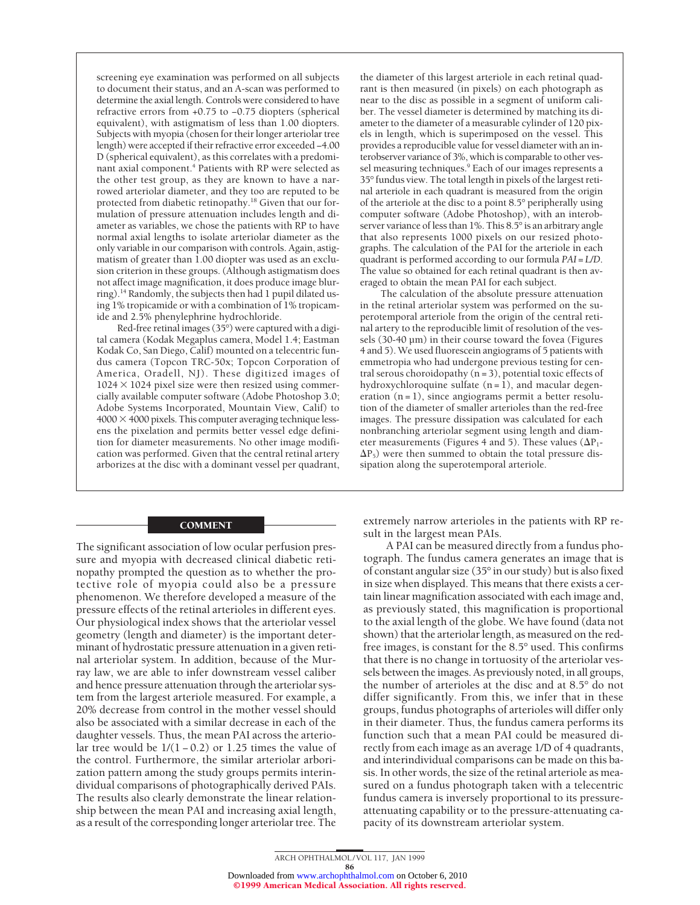screening eye examination was performed on all subjects to document their status, and an A-scan was performed to determine the axial length. Controls were considered to have refractive errors from +0.75 to −0.75 diopters (spherical equivalent), with astigmatism of less than 1.00 diopters. Subjects with myopia (chosen for their longer arteriolar tree length) were accepted if their refractive error exceeded −4.00 D (spherical equivalent), as this correlates with a predominant axial component.<sup>4</sup> Patients with RP were selected as the other test group, as they are known to have a narrowed arteriolar diameter, and they too are reputed to be protected from diabetic retinopathy.18 Given that our formulation of pressure attenuation includes length and diameter as variables, we chose the patients with RP to have normal axial lengths to isolate arteriolar diameter as the only variable in our comparison with controls. Again, astigmatism of greater than 1.00 diopter was used as an exclusion criterion in these groups. (Although astigmatism does not affect image magnification, it does produce image blurring).14 Randomly, the subjects then had 1 pupil dilated using 1% tropicamide or with a combination of 1% tropicamide and 2.5% phenylephrine hydrochloride.

Red-free retinal images (35°) were captured with a digital camera (Kodak Megaplus camera, Model 1.4; Eastman Kodak Co, San Diego, Calif) mounted on a telecentric fundus camera (Topcon TRC-50x; Topcon Corporation of America, Oradell, NJ). These digitized images of  $1024 \times 1024$  pixel size were then resized using commercially available computer software (Adobe Photoshop 3.0; Adobe Systems Incorporated, Mountain View, Calif) to  $4000 \times 4000$  pixels. This computer averaging technique lessens the pixelation and permits better vessel edge definition for diameter measurements. No other image modification was performed. Given that the central retinal artery arborizes at the disc with a dominant vessel per quadrant,

### COMMENT

The significant association of low ocular perfusion pressure and myopia with decreased clinical diabetic retinopathy prompted the question as to whether the protective role of myopia could also be a pressure phenomenon. We therefore developed a measure of the pressure effects of the retinal arterioles in different eyes. Our physiological index shows that the arteriolar vessel geometry (length and diameter) is the important determinant of hydrostatic pressure attenuation in a given retinal arteriolar system. In addition, because of the Murray law, we are able to infer downstream vessel caliber and hence pressure attenuation through the arteriolar system from the largest arteriole measured. For example, a 20% decrease from control in the mother vessel should also be associated with a similar decrease in each of the daughter vessels. Thus, the mean PAI across the arteriolar tree would be  $1/(1 - 0.2)$  or 1.25 times the value of the control. Furthermore, the similar arteriolar arborization pattern among the study groups permits interindividual comparisons of photographically derived PAIs. The results also clearly demonstrate the linear relationship between the mean PAI and increasing axial length, as a result of the corresponding longer arteriolar tree. The

the diameter of this largest arteriole in each retinal quadrant is then measured (in pixels) on each photograph as near to the disc as possible in a segment of uniform caliber. The vessel diameter is determined by matching its diameter to the diameter of a measurable cylinder of 120 pixels in length, which is superimposed on the vessel. This provides a reproducible value for vessel diameter with an interobserver variance of 3%, which is comparable to other vessel measuring techniques.<sup>9</sup> Each of our images represents a 35° fundus view. The total length in pixels of the largest retinal arteriole in each quadrant is measured from the origin of the arteriole at the disc to a point 8.5° peripherally using computer software (Adobe Photoshop), with an interobserver variance of less than 1%. This 8.5° is an arbitrary angle that also represents 1000 pixels on our resized photographs. The calculation of the PAI for the arteriole in each quadrant is performed according to our formula *PAI* = *L*/*D*. The value so obtained for each retinal quadrant is then averaged to obtain the mean PAI for each subject.

The calculation of the absolute pressure attenuation in the retinal arteriolar system was performed on the superotemporal arteriole from the origin of the central retinal artery to the reproducible limit of resolution of the vessels (30-40 µm) in their course toward the fovea (Figures 4 and 5). We used fluorescein angiograms of 5 patients with emmetropia who had undergone previous testing for central serous choroidopathy  $(n = 3)$ , potential toxic effects of hydroxychloroquine sulfate  $(n = 1)$ , and macular degeneration  $(n = 1)$ , since angiograms permit a better resolution of the diameter of smaller arterioles than the red-free images. The pressure dissipation was calculated for each nonbranching arteriolar segment using length and diameter measurements (Figures 4 and 5). These values ( $\Delta P_1$ - $\Delta P_5$ ) were then summed to obtain the total pressure dissipation along the superotemporal arteriole.

extremely narrow arterioles in the patients with RP result in the largest mean PAIs.

A PAI can be measured directly from a fundus photograph. The fundus camera generates an image that is of constant angular size (35° in our study) but is also fixed in size when displayed. This means that there exists a certain linear magnification associated with each image and, as previously stated, this magnification is proportional to the axial length of the globe. We have found (data not shown) that the arteriolar length, as measured on the redfree images, is constant for the 8.5° used. This confirms that there is no change in tortuosity of the arteriolar vessels between the images. As previously noted, in all groups, the number of arterioles at the disc and at 8.5° do not differ significantly. From this, we infer that in these groups, fundus photographs of arterioles will differ only in their diameter. Thus, the fundus camera performs its function such that a mean PAI could be measured directly from each image as an average 1/D of 4 quadrants, and interindividual comparisons can be made on this basis. In other words, the size of the retinal arteriole as measured on a fundus photograph taken with a telecentric fundus camera is inversely proportional to its pressureattenuating capability or to the pressure-attenuating capacity of its downstream arteriolar system.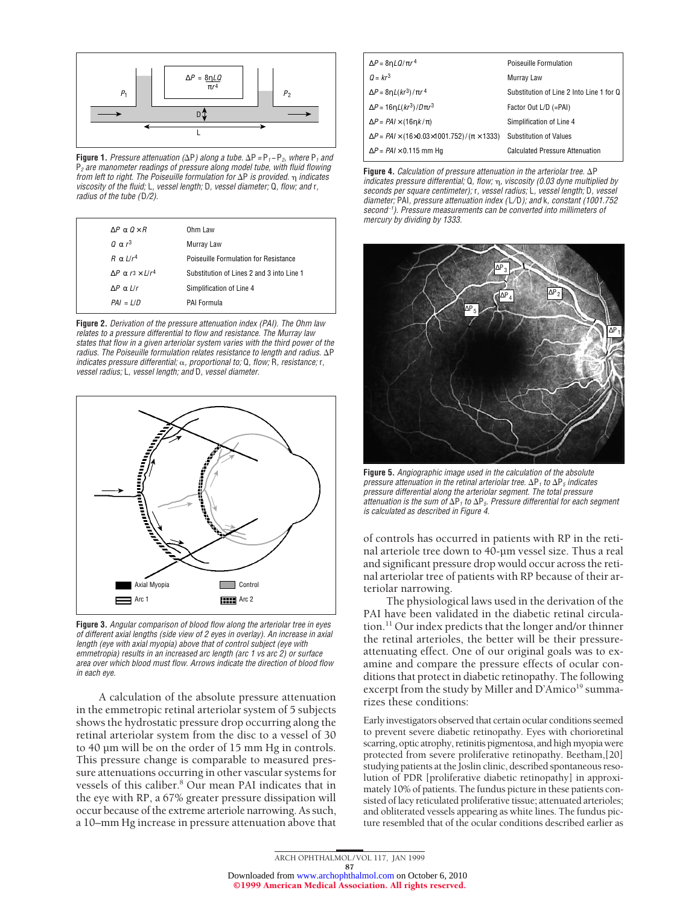

**Figure 1.** Pressure attenuation ( $\Delta P$ ) along a tube.  $\Delta P = P_1 - P_2$ , where P<sub>1</sub> and  $P<sub>2</sub>$  are manometer readings of pressure along model tube, with fluid flowing from left to right. The Poiseuille formulation for  $\Delta P$  is provided.  $\eta$  indicates viscosity of the fluid; L, vessel length; D, vessel diameter; Q, flow; and r, radius of the tube (D/2).

| $\Delta P$ $\alpha$ $\Omega \times R$  | Ohm Law                                   |
|----------------------------------------|-------------------------------------------|
| $0 \alpha r^3$                         | Murray Law                                |
| $R \alpha L/r^4$                       | Poiseuille Formulation for Resistance     |
| $\Delta P$ $\alpha$ $r^3 \times L/r^4$ | Substitution of Lines 2 and 3 into Line 1 |
| $AP \alpha$ L/r                        | Simplification of Line 4                  |
| $PAI = L/D$                            | PAI Formula                               |
|                                        |                                           |

**Figure 2.** Derivation of the pressure attenuation index (PAI). The Ohm law relates to <sup>a</sup> pressure differential to flow and resistance. The Murray law states that flow in <sup>a</sup> given arteriolar system varies with the third power of the radius. The Poiseuille formulation relates resistance to length and radius.  $\Delta P$ indicates pressure differential;  $\alpha$ , proportional to; Q, flow; R, resistance; r, vessel radius; L, vessel length; and D, vessel diameter.



**Figure 3.** Angular comparison of blood flow along the arteriolar tree in eyes of different axial lengths (side view of 2 eyes in overlay). An increase in axial length (eye with axial myopia) above that of control subject (eye with emmetropia) results in an increased arc length (arc 1 vs arc 2) or surface area over which blood must flow. Arrows indicate the direction of blood flow in each eye.

A calculation of the absolute pressure attenuation in the emmetropic retinal arteriolar system of 5 subjects shows the hydrostatic pressure drop occurring along the retinal arteriolar system from the disc to a vessel of 30 to 40 µm will be on the order of 15 mm Hg in controls. This pressure change is comparable to measured pressure attenuations occurring in other vascular systems for vessels of this caliber.8 Our mean PAI indicates that in the eye with RP, a 67% greater pressure dissipation will occur because of the extreme arteriole narrowing. As such, a 10–mm Hg increase in pressure attenuation above that

| $\Delta P = 8\eta LQ/\pi r^4$                                                | Poiseuille Formulation                   |
|------------------------------------------------------------------------------|------------------------------------------|
| $Q = kr^3$                                                                   | Murray Law                               |
| $\Delta P = 8\eta L(kr^3)/\pi r^4$                                           | Substitution of Line 2 Into Line 1 for Q |
| $\Delta P = 16nL(kr^3)/D\pi r^3$                                             | Factor Out L/D (=PAI)                    |
| $\Delta P = PAI \times (16nK/\pi)$                                           | Simplification of Line 4                 |
| $\Delta P = PAI \times (16 \times 0.03 \times 1001.752) / (\pi \times 1333)$ | <b>Substitution of Values</b>            |
| $\Delta P = PAI \times 0.115$ mm Hg                                          | <b>Calculated Pressure Attenuation</b>   |

**Figure 4.** Calculation of pressure attenuation in the arteriolar tree.  $\Delta P$ indicates pressure differential;  $Q$ , flow;  $\eta$ , viscosity (0.03 dyne multiplied by seconds per square centimeter); r, vessel radius; L, vessel length; D, vessel diameter; PAI, pressure attenuation index (L/D); and k, constant (1001.752 second<sup>-1</sup>). Pressure measurements can be converted into millimeters of mercury by dividing by 1333.



**Figure 5.** Angiographic image used in the calculation of the absolute pressure attenuation in the retinal arteriolar tree.  $\Delta P_1$  to  $\Delta P_5$  indicates pressure differential along the arteriolar segment. The total pressure attenuation is the sum of  $\Delta P_1$  to  $\Delta P_5$ . Pressure differential for each segment is calculated as described in Figure 4.

of controls has occurred in patients with RP in the retinal arteriole tree down to 40-µm vessel size. Thus a real and significant pressure drop would occur across the retinal arteriolar tree of patients with RP because of their arteriolar narrowing.

The physiological laws used in the derivation of the PAI have been validated in the diabetic retinal circulation.11 Our index predicts that the longer and/or thinner the retinal arterioles, the better will be their pressureattenuating effect. One of our original goals was to examine and compare the pressure effects of ocular conditions that protect in diabetic retinopathy. The following excerpt from the study by Miller and D'Amico<sup>19</sup> summarizes these conditions:

Early investigators observed that certain ocular conditions seemed to prevent severe diabetic retinopathy. Eyes with chorioretinal scarring, optic atrophy, retinitis pigmentosa, and high myopia were protected from severe proliferative retinopathy. Beetham,[20] studying patients at the Joslin clinic, described spontaneous resolution of PDR [proliferative diabetic retinopathy] in approximately 10% of patients. The fundus picture in these patients consisted of lacy reticulated proliferative tissue; attenuated arterioles; and obliterated vessels appearing as white lines. The fundus picture resembled that of the ocular conditions described earlier as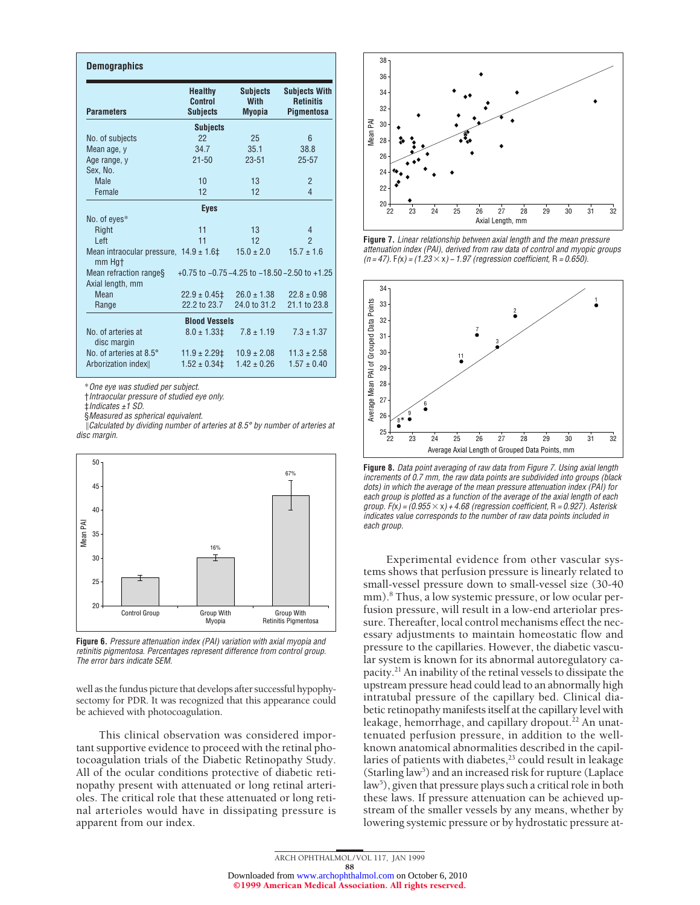| <b>Demographics</b>                                                               |                                              |                                                 |                                                        |  |  |  |
|-----------------------------------------------------------------------------------|----------------------------------------------|-------------------------------------------------|--------------------------------------------------------|--|--|--|
| <b>Parameters</b>                                                                 | <b>Healthy</b><br>Control<br><b>Subjects</b> | <b>Subjects</b><br><b>With</b><br><b>Myopia</b> | <b>Subjects With</b><br><b>Retinitis</b><br>Pigmentosa |  |  |  |
| <b>Subjects</b>                                                                   |                                              |                                                 |                                                        |  |  |  |
| No. of subjects                                                                   | 22                                           | 25                                              | 6                                                      |  |  |  |
| Mean age, y                                                                       | 34.7                                         | 35.1                                            | 38.8                                                   |  |  |  |
| Age range, y                                                                      | $21 - 50$                                    | $23 - 51$                                       | $25 - 57$                                              |  |  |  |
| Sex, No.                                                                          |                                              |                                                 |                                                        |  |  |  |
| <b>Male</b>                                                                       | 10                                           | 13                                              | $\overline{2}$                                         |  |  |  |
| Female                                                                            | 12                                           | 12                                              | 4                                                      |  |  |  |
|                                                                                   | <b>Eyes</b>                                  |                                                 |                                                        |  |  |  |
| No. of eyes*                                                                      |                                              |                                                 |                                                        |  |  |  |
| Right                                                                             | 11                                           | 13                                              | 4                                                      |  |  |  |
| Left                                                                              | 11                                           | 12                                              | $\overline{2}$                                         |  |  |  |
| Mean intraocular pressure, $14.9 \pm 1.6 \ddagger$<br>mm Hat                      |                                              | $15.0 \pm 2.0$                                  | $15.7 \pm 1.6$                                         |  |  |  |
| $+0.75$ to $-0.75 - 4.25$ to $-18.50 - 2.50$ to $+1.25$<br>Mean refraction ranges |                                              |                                                 |                                                        |  |  |  |
| Axial length, mm                                                                  |                                              |                                                 |                                                        |  |  |  |
| Mean                                                                              | $22.9 \pm 0.45$                              | $26.0 \pm 1.38$                                 | $22.8 \pm 0.98$                                        |  |  |  |
| Range                                                                             | 22.2 to 23.7                                 | 24.0 to 31.2                                    | 21.1 to 23.8                                           |  |  |  |
| <b>Blood Vessels</b>                                                              |                                              |                                                 |                                                        |  |  |  |
| No. of arteries at<br>disc margin                                                 | $8.0 \pm 1.33$ ‡                             | $7.8 \pm 1.19$                                  | $7.3 \pm 1.37$                                         |  |  |  |
| No. of arteries at 8.5°                                                           | $11.9 \pm 2.29$ ‡                            | $10.9 \pm 2.08$                                 | $11.3 \pm 2.58$                                        |  |  |  |
| Arborization index                                                                | $1.52 \pm 0.34$ ‡                            | $1.42 \pm 0.26$                                 | $1.57 \pm 0.40$                                        |  |  |  |

\*One eye was studied per subject.

†Intraocular pressure of studied eye only.

‡Indicates ±1 SD.

§Measured as spherical equivalent.

 $\mathcal{C}$ Calculated by dividing number of arteries at 8.5° by number of arteries at disc margin.



**Figure 6.** Pressure attenuation index (PAI) variation with axial myopia and retinitis pigmentosa. Percentages represent difference from control group. The error bars indicate SEM.

well as the fundus picture that develops after successful hypophysectomy for PDR. It was recognized that this appearance could be achieved with photocoagulation.

This clinical observation was considered important supportive evidence to proceed with the retinal photocoagulation trials of the Diabetic Retinopathy Study. All of the ocular conditions protective of diabetic retinopathy present with attenuated or long retinal arterioles. The critical role that these attenuated or long retinal arterioles would have in dissipating pressure is apparent from our index.



**Figure 7.** Linear relationship between axial length and the mean pressure attenuation index (PAI), derived from raw data of control and myopic groups (n = 47).  $F(x) = (1.23 \times x) - 1.97$  (regression coefficient, R = 0.650).



**Figure 8.** Data point averaging of raw data from Figure 7. Using axial length increments of 0.7 mm, the raw data points are subdivided into groups (black dots) in which the average of the mean pressure attenuation index (PAI) for each group is plotted as <sup>a</sup> function of the average of the axial length of each group.  $F(x) = (0.955 \times x) + 4.68$  (regression coefficient, R = 0.927). Asterisk indicates value corresponds to the number of raw data points included in each group.

Experimental evidence from other vascular systems shows that perfusion pressure is linearly related to small-vessel pressure down to small-vessel size (30-40 mm).<sup>8</sup> Thus, a low systemic pressure, or low ocular perfusion pressure, will result in a low-end arteriolar pressure. Thereafter, local control mechanisms effect the necessary adjustments to maintain homeostatic flow and pressure to the capillaries. However, the diabetic vascular system is known for its abnormal autoregulatory capacity.21 An inability of the retinal vessels to dissipate the upstream pressure head could lead to an abnormally high intratubal pressure of the capillary bed. Clinical diabetic retinopathy manifests itself at the capillary level with leakage, hemorrhage, and capillary dropout.<sup>22</sup> An unattenuated perfusion pressure, in addition to the wellknown anatomical abnormalities described in the capillaries of patients with diabetes,<sup>23</sup> could result in leakage (Starling law<sup>5</sup>) and an increased risk for rupture (Laplace law<sup>5</sup>), given that pressure plays such a critical role in both these laws. If pressure attenuation can be achieved upstream of the smaller vessels by any means, whether by lowering systemic pressure or by hydrostatic pressure at